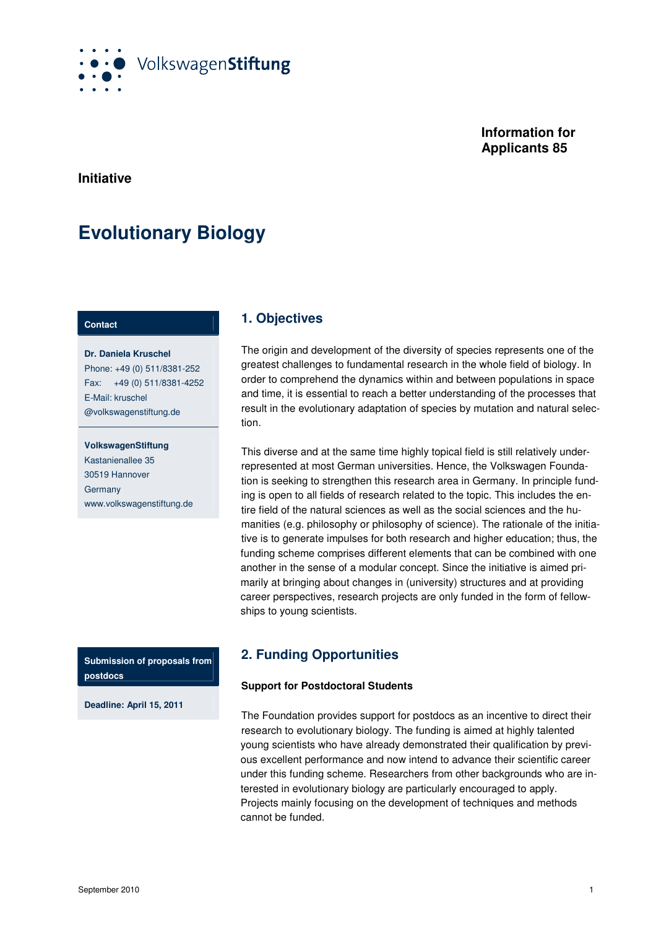

# **Information for Applicants 85**

**Initiative** 

# **Evolutionary Biology**

### **Contact**

**Dr. Daniela Kruschel** Phone: +49 (0) 511/8381-252 Fax: +49 (0) 511/8381-4252 E-Mail: kruschel @volkswagenstiftung.de

#### **VolkswagenStiftung**

Kastanienallee 35 30519 Hannover **Germany** www.volkswagenstiftung.de

**Submission of proposals from postdocs** 

**Deadline: April 15, 2011**

# **1. Objectives**

The origin and development of the diversity of species represents one of the greatest challenges to fundamental research in the whole field of biology. In order to comprehend the dynamics within and between populations in space and time, it is essential to reach a better understanding of the processes that result in the evolutionary adaptation of species by mutation and natural selection.

This diverse and at the same time highly topical field is still relatively underrepresented at most German universities. Hence, the Volkswagen Foundation is seeking to strengthen this research area in Germany. In principle funding is open to all fields of research related to the topic. This includes the entire field of the natural sciences as well as the social sciences and the humanities (e.g. philosophy or philosophy of science). The rationale of the initiative is to generate impulses for both research and higher education; thus, the funding scheme comprises different elements that can be combined with one another in the sense of a modular concept. Since the initiative is aimed primarily at bringing about changes in (university) structures and at providing career perspectives, research projects are only funded in the form of fellowships to young scientists.

# **2. Funding Opportunities**

## **Support for Postdoctoral Students**

The Foundation provides support for postdocs as an incentive to direct their research to evolutionary biology. The funding is aimed at highly talented young scientists who have already demonstrated their qualification by previous excellent performance and now intend to advance their scientific career under this funding scheme. Researchers from other backgrounds who are interested in evolutionary biology are particularly encouraged to apply. Projects mainly focusing on the development of techniques and methods cannot be funded.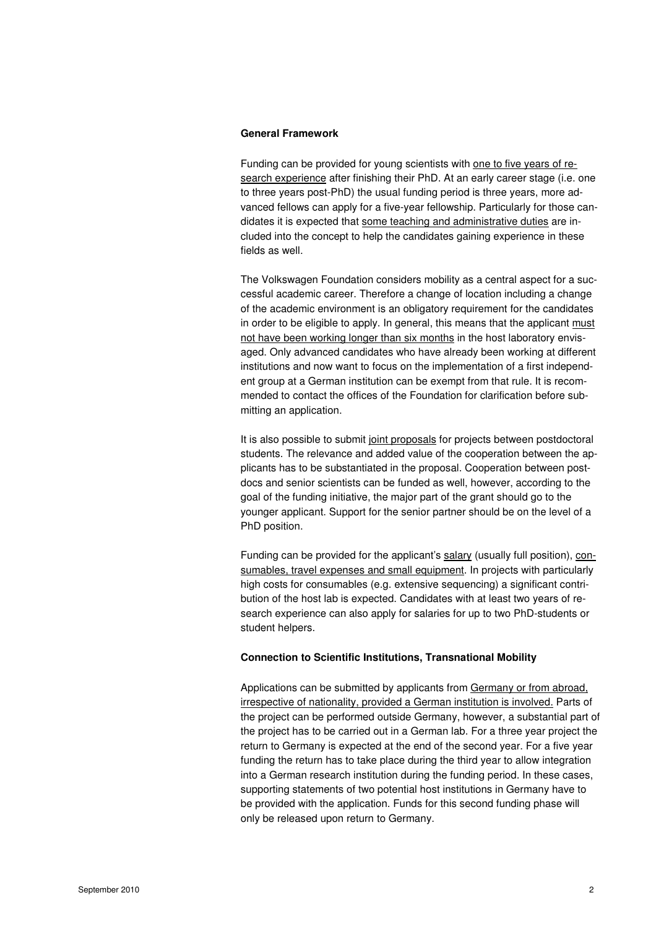#### **General Framework**

Funding can be provided for young scientists with one to five years of research experience after finishing their PhD. At an early career stage (i.e. one to three years post-PhD) the usual funding period is three years, more advanced fellows can apply for a five-year fellowship. Particularly for those candidates it is expected that some teaching and administrative duties are included into the concept to help the candidates gaining experience in these fields as well.

The Volkswagen Foundation considers mobility as a central aspect for a successful academic career. Therefore a change of location including a change of the academic environment is an obligatory requirement for the candidates in order to be eligible to apply. In general, this means that the applicant must not have been working longer than six months in the host laboratory envisaged. Only advanced candidates who have already been working at different institutions and now want to focus on the implementation of a first independent group at a German institution can be exempt from that rule. It is recommended to contact the offices of the Foundation for clarification before submitting an application.

It is also possible to submit joint proposals for projects between postdoctoral students. The relevance and added value of the cooperation between the applicants has to be substantiated in the proposal. Cooperation between postdocs and senior scientists can be funded as well, however, according to the goal of the funding initiative, the major part of the grant should go to the younger applicant. Support for the senior partner should be on the level of a PhD position.

Funding can be provided for the applicant's salary (usually full position), consumables, travel expenses and small equipment. In projects with particularly high costs for consumables (e.g. extensive sequencing) a significant contribution of the host lab is expected. Candidates with at least two years of research experience can also apply for salaries for up to two PhD-students or student helpers.

## **Connection to Scientific Institutions, Transnational Mobility**

Applications can be submitted by applicants from Germany or from abroad, irrespective of nationality, provided a German institution is involved. Parts of the project can be performed outside Germany, however, a substantial part of the project has to be carried out in a German lab. For a three year project the return to Germany is expected at the end of the second year. For a five year funding the return has to take place during the third year to allow integration into a German research institution during the funding period. In these cases, supporting statements of two potential host institutions in Germany have to be provided with the application. Funds for this second funding phase will only be released upon return to Germany.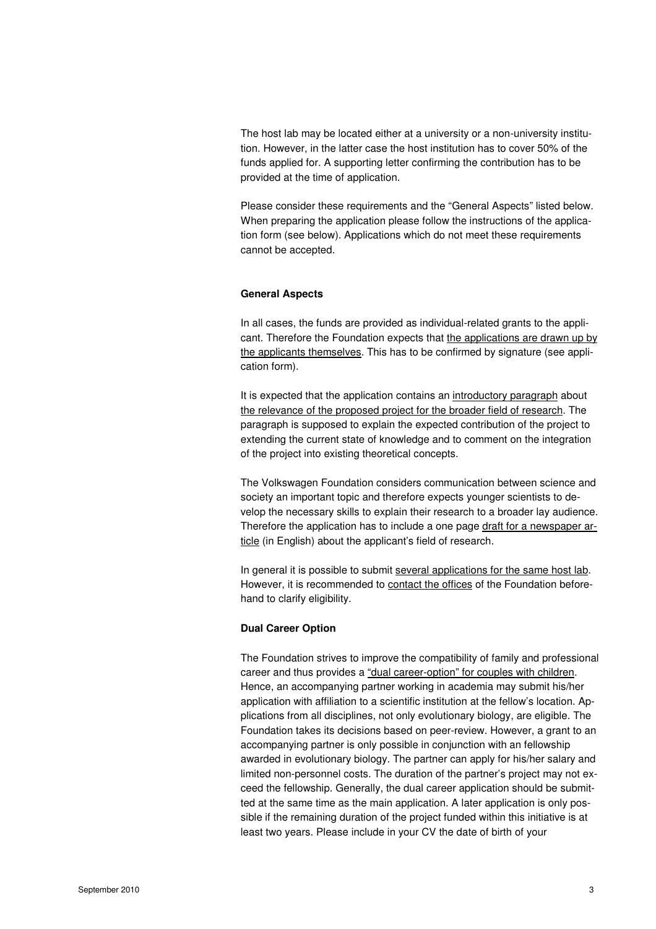The host lab may be located either at a university or a non-university institution. However, in the latter case the host institution has to cover 50% of the funds applied for. A supporting letter confirming the contribution has to be provided at the time of application.

Please consider these requirements and the "General Aspects" listed below. When preparing the application please follow the instructions of the application form (see below). Applications which do not meet these requirements cannot be accepted.

#### **General Aspects**

In all cases, the funds are provided as individual-related grants to the applicant. Therefore the Foundation expects that the applications are drawn up by the applicants themselves. This has to be confirmed by signature (see application form).

It is expected that the application contains an introductory paragraph about the relevance of the proposed project for the broader field of research. The paragraph is supposed to explain the expected contribution of the project to extending the current state of knowledge and to comment on the integration of the project into existing theoretical concepts.

The Volkswagen Foundation considers communication between science and society an important topic and therefore expects younger scientists to develop the necessary skills to explain their research to a broader lay audience. Therefore the application has to include a one page draft for a newspaper article (in English) about the applicant's field of research.

In general it is possible to submit several applications for the same host lab. However, it is recommended to contact the offices of the Foundation beforehand to clarify eligibility.

#### **Dual Career Option**

The Foundation strives to improve the compatibility of family and professional career and thus provides a "dual career-option" for couples with children. Hence, an accompanying partner working in academia may submit his/her application with affiliation to a scientific institution at the fellow's location. Applications from all disciplines, not only evolutionary biology, are eligible. The Foundation takes its decisions based on peer-review. However, a grant to an accompanying partner is only possible in conjunction with an fellowship awarded in evolutionary biology. The partner can apply for his/her salary and limited non-personnel costs. The duration of the partner's project may not exceed the fellowship. Generally, the dual career application should be submitted at the same time as the main application. A later application is only possible if the remaining duration of the project funded within this initiative is at least two years. Please include in your CV the date of birth of your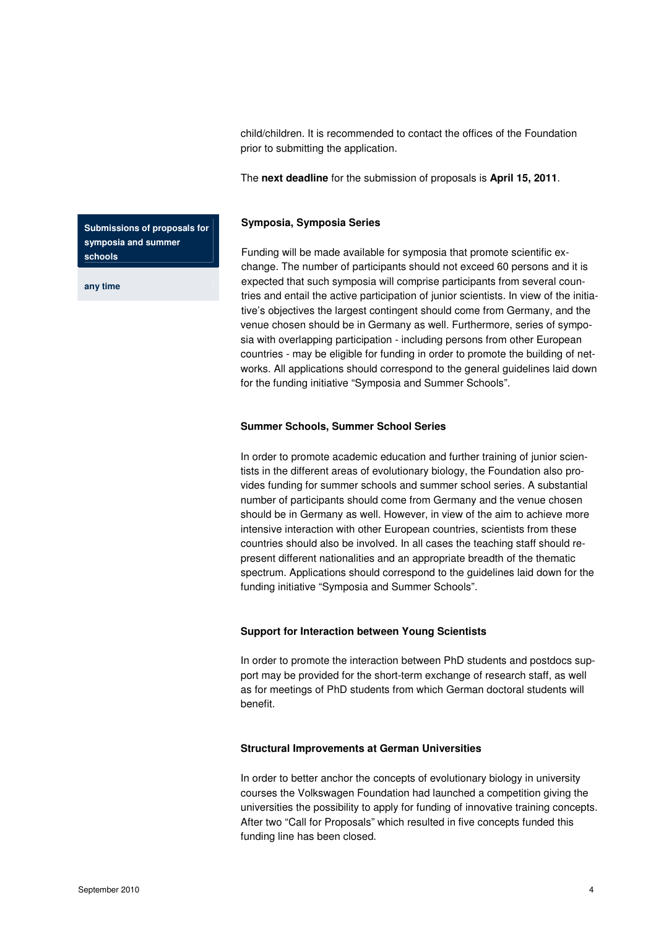child/children. It is recommended to contact the offices of the Foundation prior to submitting the application.

The **next deadline** for the submission of proposals is **April 15, 2011**.

## **Symposia, Symposia Series**

Funding will be made available for symposia that promote scientific exchange. The number of participants should not exceed 60 persons and it is expected that such symposia will comprise participants from several countries and entail the active participation of junior scientists. In view of the initiative's objectives the largest contingent should come from Germany, and the venue chosen should be in Germany as well. Furthermore, series of symposia with overlapping participation - including persons from other European countries - may be eligible for funding in order to promote the building of networks. All applications should correspond to the general guidelines laid down for the funding initiative "Symposia and Summer Schools".

## **Summer Schools, Summer School Series**

In order to promote academic education and further training of junior scientists in the different areas of evolutionary biology, the Foundation also provides funding for summer schools and summer school series. A substantial number of participants should come from Germany and the venue chosen should be in Germany as well. However, in view of the aim to achieve more intensive interaction with other European countries, scientists from these countries should also be involved. In all cases the teaching staff should represent different nationalities and an appropriate breadth of the thematic spectrum. Applications should correspond to the guidelines laid down for the funding initiative "Symposia and Summer Schools".

# **Support for Interaction between Young Scientists**

In order to promote the interaction between PhD students and postdocs support may be provided for the short-term exchange of research staff, as well as for meetings of PhD students from which German doctoral students will benefit.

## **Structural Improvements at German Universities**

In order to better anchor the concepts of evolutionary biology in university courses the Volkswagen Foundation had launched a competition giving the universities the possibility to apply for funding of innovative training concepts. After two "Call for Proposals" which resulted in five concepts funded this funding line has been closed.

**Submissions of proposals for symposia and summer schools** 

**any time**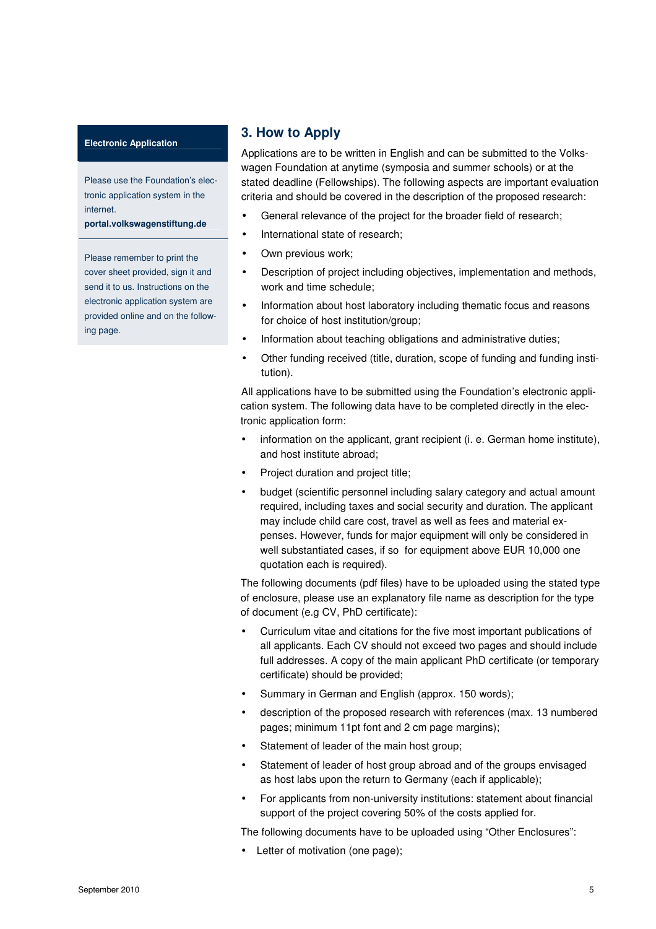#### **Electronic Application**

Please use the Foundation's electronic application system in the internet.

**portal.volkswagenstiftung.de**

Please remember to print the cover sheet provided, sign it and send it to us. Instructions on the electronic application system are provided online and on the following page.

# **3. How to Apply**

Applications are to be written in English and can be submitted to the Volkswagen Foundation at anytime (symposia and summer schools) or at the stated deadline (Fellowships). The following aspects are important evaluation criteria and should be covered in the description of the proposed research:

- General relevance of the project for the broader field of research;
- International state of research;
- Own previous work;
- Description of project including objectives, implementation and methods, work and time schedule;
- Information about host laboratory including thematic focus and reasons for choice of host institution/group;
- Information about teaching obligations and administrative duties;
- Other funding received (title, duration, scope of funding and funding institution).

All applications have to be submitted using the Foundation's electronic application system. The following data have to be completed directly in the electronic application form:

- information on the applicant, grant recipient (i. e. German home institute), and host institute abroad;
- Project duration and project title;
- budget (scientific personnel including salary category and actual amount required, including taxes and social security and duration. The applicant may include child care cost, travel as well as fees and material expenses. However, funds for major equipment will only be considered in well substantiated cases, if so for equipment above EUR 10,000 one quotation each is required).

The following documents (pdf files) have to be uploaded using the stated type of enclosure, please use an explanatory file name as description for the type of document (e.g CV, PhD certificate):

- Curriculum vitae and citations for the five most important publications of all applicants. Each CV should not exceed two pages and should include full addresses. A copy of the main applicant PhD certificate (or temporary certificate) should be provided;
- Summary in German and English (approx. 150 words);
- description of the proposed research with references (max. 13 numbered pages; minimum 11pt font and 2 cm page margins);
- Statement of leader of the main host group;
- Statement of leader of host group abroad and of the groups envisaged as host labs upon the return to Germany (each if applicable);
- For applicants from non-university institutions: statement about financial support of the project covering 50% of the costs applied for.

The following documents have to be uploaded using "Other Enclosures":

Letter of motivation (one page);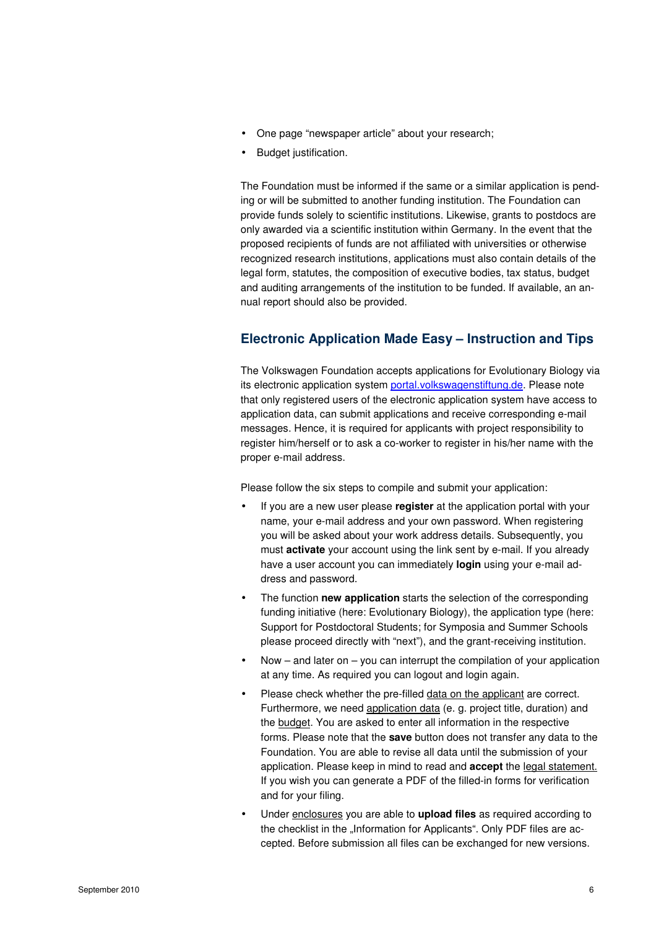- One page "newspaper article" about your research;
- Budget justification.

The Foundation must be informed if the same or a similar application is pending or will be submitted to another funding institution. The Foundation can provide funds solely to scientific institutions. Likewise, grants to postdocs are only awarded via a scientific institution within Germany. In the event that the proposed recipients of funds are not affiliated with universities or otherwise recognized research institutions, applications must also contain details of the legal form, statutes, the composition of executive bodies, tax status, budget and auditing arrangements of the institution to be funded. If available, an annual report should also be provided.

# **Electronic Application Made Easy – Instruction and Tips**

The Volkswagen Foundation accepts applications for Evolutionary Biology via its electronic application system portal.volkswagenstiftung.de. Please note that only registered users of the electronic application system have access to application data, can submit applications and receive corresponding e-mail messages. Hence, it is required for applicants with project responsibility to register him/herself or to ask a co-worker to register in his/her name with the proper e-mail address.

Please follow the six steps to compile and submit your application:

- If you are a new user please **register** at the application portal with your name, your e-mail address and your own password. When registering you will be asked about your work address details. Subsequently, you must **activate** your account using the link sent by e-mail. If you already have a user account you can immediately **login** using your e-mail address and password.
- The function **new application** starts the selection of the corresponding funding initiative (here: Evolutionary Biology), the application type (here: Support for Postdoctoral Students; for Symposia and Summer Schools please proceed directly with "next"), and the grant-receiving institution.
- Now and later on you can interrupt the compilation of your application at any time. As required you can logout and login again.
- Please check whether the pre-filled data on the applicant are correct. Furthermore, we need application data (e. g. project title, duration) and the budget. You are asked to enter all information in the respective forms. Please note that the **save** button does not transfer any data to the Foundation. You are able to revise all data until the submission of your application. Please keep in mind to read and **accept** the legal statement. If you wish you can generate a PDF of the filled-in forms for verification and for your filing.
- Under enclosures you are able to **upload files** as required according to the checklist in the "Information for Applicants". Only PDF files are accepted. Before submission all files can be exchanged for new versions.